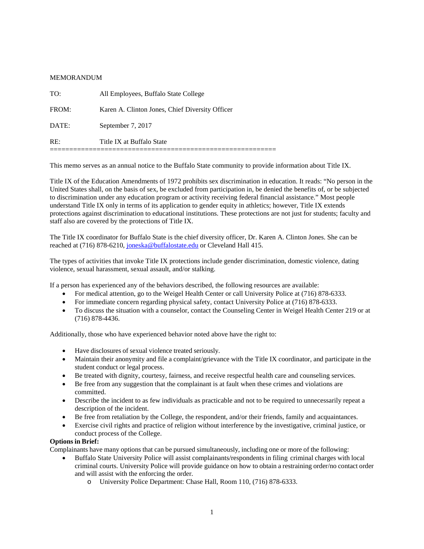## MEMORANDUM

| RE:   | Title IX at Buffalo State                       |
|-------|-------------------------------------------------|
| DATE: | September 7, 2017                               |
| FROM: | Karen A. Clinton Jones, Chief Diversity Officer |
| TO:   | All Employees, Buffalo State College            |

This memo serves as an annual notice to the Buffalo State community to provide information about Title IX.

Title IX of the Education Amendments of 1972 prohibits sex discrimination in education. It reads: "No person in the United States shall, on the basis of sex, be excluded from participation in, be denied the benefits of, or be subjected to discrimination under any education program or activity receiving federal financial assistance." Most people understand Title IX only in terms of its application to gender equity in athletics; however, Title IX extends protections against discrimination to educational institutions. These protections are not just for students; faculty and staff also are covered by the protections of Title IX.

The Title IX coordinator for Buffalo State is the chief diversity officer, Dr. Karen A. Clinton Jones. She can be reached at (716) 878-6210, [joneska@buffalostate.edu](mailto:joneska@buffalostate.edu) or Cleveland Hall 415.

The types of activities that invoke Title IX protections include gender discrimination, domestic violence, dating violence, sexual harassment, sexual assault, and/or stalking.

If a person has experienced any of the behaviors described, the following resources are available:

- For medical attention, go to the Weigel Health Center or call University Police at (716) 878-6333.
- For immediate concern regarding physical safety, contact University Police at (716) 878-6333.
- To discuss the situation with a counselor, contact the Counseling Center in Weigel Health Center 219 or at (716) 878-4436.

Additionally, those who have experienced behavior noted above have the right to:

- Have disclosures of sexual violence treated seriously.
- Maintain their anonymity and file a complaint/grievance with the Title IX coordinator, and participate in the student conduct or legal process.
- Be treated with dignity, courtesy, fairness, and receive respectful health care and counseling services.
- Be free from any suggestion that the complainant is at fault when these crimes and violations are committed.
- Describe the incident to as few individuals as practicable and not to be required to unnecessarily repeat a description of the incident.
- Be free from retaliation by the College, the respondent, and/or their friends, family and acquaintances.
- Exercise civil rights and practice of religion without interference by the investigative, criminal justice, or conduct process of the College.

## **Options in Brief:**

Complainants have many options that can be pursued simultaneously, including one or more of the following:

- Buffalo State University Police will assist complainants/respondents in filing criminal charges with local criminal courts. University Police will provide guidance on how to obtain a restraining order/no contact order and will assist with the enforcing the order.
	- o University Police Department: Chase Hall, Room 110, (716) 878-6333.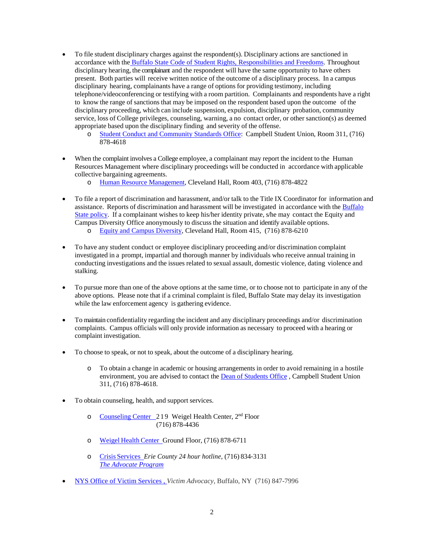- To file student disciplinary charges against the respondent(s). Disciplinary actions are sanctioned in accordance with the [Buffalo State Code of Student Rights, Responsibilities and Freedoms.](http://deanofstudents.buffalostate.edu/sites/deanofstudents.buffalostate.edu/files/uploads/Links/Code%20of%20Conduct.pdf) Throughout disciplinary hearing, the complainant and the respondent will have the same opportunity to have others present. Both parties will receive written notice of the outcome of a disciplinary process. In a campus disciplinary hearing, complainants have a range of options for providing testimony, including telephone/videoconferencing or testifying with a room partition. Complainants and respondents have a right to know the range of sanctions that may be imposed on the respondent based upon the outcome of the disciplinary proceeding, which can include suspension, expulsion, disciplinary probation, community service, loss of College privileges, counseling, warning, a no contact order, or other sanction(s) as deemed appropriate based upon the disciplinary finding and severity of the offense.
	- o [Student Conduct and Community Standards Office:](http://deanofstudents.buffalostate.edu/student-conduct-and-community-standards-office) Campbell Student Union, Room 311, (716) 878-4618
- When the complaint involves a College employee, a complainant may report the incident to the Human Resources Management where disciplinary proceedings will be conducted in accordance with applicable collective bargaining agreements.
	- o [Human Resource Management,](http://hr.buffalostate.edu/) Cleveland Hall, Room 403, (716) 878-4822
- To file a report of discrimination and harassment, and/or talk to the Title IX Coordinator for information and assistance. Reports of discrimination and harassment will be investigated in accordance with th[e Buffalo](http://equity.buffalostate.edu/policies)  [State policy.](http://equity.buffalostate.edu/policies) If a complainant wishes to keep his/her identity private, s/he may contact the Equity and Campus Diversity Office anonymously to discuss the situation and identify available options.
	- o [Equity and Campus Diversity,](http://equity.buffalostate.edu/) Cleveland Hall, Room 415, (716) 878-6210
- To have any student conduct or employee disciplinary proceeding and/or discrimination complaint investigated in a prompt, impartial and thorough manner by individuals who receive annual training in conducting investigations and the issues related to sexual assault, domestic violence, dating violence and stalking.
- To pursue more than one of the above options at the same time, or to choose not to participate in any of the above options. Please note that if a criminal complaint is filed, Buffalo State may delay its investigation while the law enforcement agency is gathering evidence.
- To maintain confidentiality regarding the incident and any disciplinary proceedings and/or discrimination complaints. Campus officials will only provide information as necessary to proceed with a hearing or complaint investigation.
- To choose to speak, or not to speak, about the outcome of a disciplinary hearing.
	- o To obtain a change in academic or housing arrangements in order to avoid remaining in a hostile environment, you are advised to contact the [Dean of Students Office](http://deanofstudents.buffalostate.edu/) , Campbell Student Union 311, (716) 878-4618.
- To obtain counseling, health, and support services.
	- o [Counseling Center 2](http://counselingcenter.buffalostate.edu/)19 Weigel Health Center, 2nd Floor (716) 878-4436
	- o Weigel Health [Center G](http://weigel.buffalostate.edu/)round Floor, (716) 878-6711
	- o Crisis [Services](http://crisisservices.org/) *Erie County 24 hour hotline,* (716) 834‐3131 *[The Advocate Program](http://crisisservices.org/advocate-program-sponsors-statewide-conference/)*
- [NYS Office of Victim Services](http://www.ovs.ny.gov/) , *Victim Advocacy,* Buffalo, NY (716) 847-7996